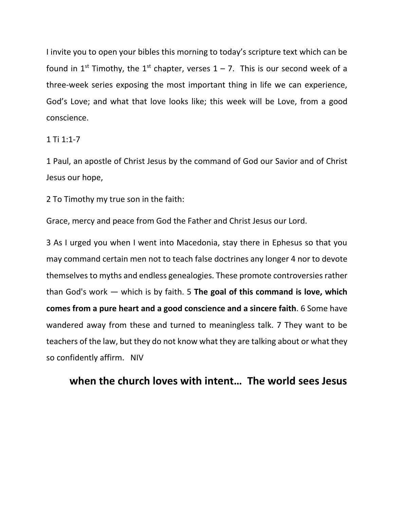I invite you to open your bibles this morning to today's scripture text which can be found in 1<sup>st</sup> Timothy, the 1<sup>st</sup> chapter, verses  $1 - 7$ . This is our second week of a three-week series exposing the most important thing in life we can experience, God's Love; and what that love looks like; this week will be Love, from a good conscience.

## $1$  Ti  $1:1-7$

1 Paul, an apostle of Christ Jesus by the command of God our Savior and of Christ Jesus our hope,

2 To Timothy my true son in the faith:

Grace, mercy and peace from God the Father and Christ Jesus our Lord.

3 As I urged you when I went into Macedonia, stay there in Ephesus so that you may command certain men not to teach false doctrines any longer 4 nor to devote themselves to myths and endless genealogies. These promote controversies rather than God's work — which is by faith. 5 **The goal of this command is love, which comes from a pure heart and a good conscience and a sincere faith**. 6 Some have wandered away from these and turned to meaningless talk. 7 They want to be teachers of the law, but they do not know what they are talking about or what they so confidently affirm. NIV

## **when the church loves with intent… The world sees Jesus**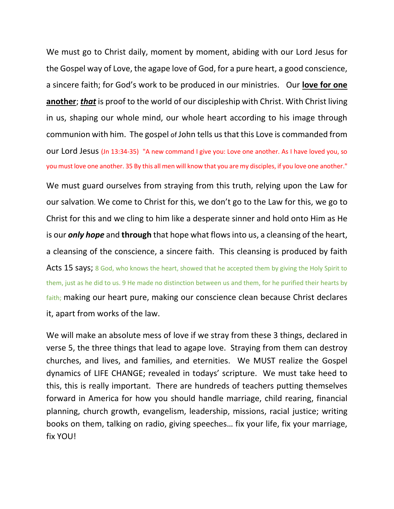We must go to Christ daily, moment by moment, abiding with our Lord Jesus for the Gospel way of Love, the agape love of God, for a pure heart, a good conscience, a sincere faith; for God's work to be produced in our ministries. Our **love for one another**; *that* is proof to the world of our discipleship with Christ. With Christ living in us, shaping our whole mind, our whole heart according to his image through communion with him. The gospel of John tells us that this Love is commanded from our Lord Jesus (Jn 13:34-35) "A new command I give you: Love one another. As I have loved you, so you must love one another. 35 By this all men will know that you are my disciples, if you love one another."

We must guard ourselves from straying from this truth, relying upon the Law for our salvation. We come to Christ for this, we don't go to the Law for this, we go to Christ for this and we cling to him like a desperate sinner and hold onto Him as He is our *only hope* and **through** that hope what flows into us, a cleansing of the heart, a cleansing of the conscience, a sincere faith. This cleansing is produced by faith Acts 15 says; 8 God, who knows the heart, showed that he accepted them by giving the Holy Spirit to them, just as he did to us. 9 He made no distinction between us and them, for he purified their hearts by faith; making our heart pure, making our conscience clean because Christ declares it, apart from works of the law.

We will make an absolute mess of love if we stray from these 3 things, declared in verse 5, the three things that lead to agape love. Straying from them can destroy churches, and lives, and families, and eternities. We MUST realize the Gospel dynamics of LIFE CHANGE; revealed in todays' scripture. We must take heed to this, this is really important. There are hundreds of teachers putting themselves forward in America for how you should handle marriage, child rearing, financial planning, church growth, evangelism, leadership, missions, racial justice; writing books on them, talking on radio, giving speeches… fix your life, fix your marriage, fix YOU!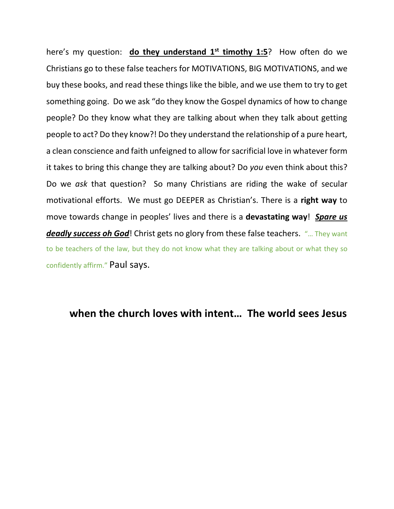here's my question: **do they understand 1 st timothy 1:5**? How often do we Christians go to these false teachers for MOTIVATIONS, BIG MOTIVATIONS, and we buy these books, and read these things like the bible, and we use them to try to get something going. Do we ask "do they know the Gospel dynamics of how to change people? Do they know what they are talking about when they talk about getting people to act? Do they know?! Do they understand the relationship of a pure heart, a clean conscience and faith unfeigned to allow for sacrificial love in whatever form it takes to bring this change they are talking about? Do *you* even think about this? Do we *ask* that question? So many Christians are riding the wake of secular motivational efforts. We must go DEEPER as Christian's. There is a **right way** to move towards change in peoples' lives and there is a **devastating way**! *Spare us deadly success oh God*! Christ gets no glory from these false teachers. "… They want to be teachers of the law, but they do not know what they are talking about or what they so confidently affirm." Paul says.

## **when the church loves with intent… The world sees Jesus**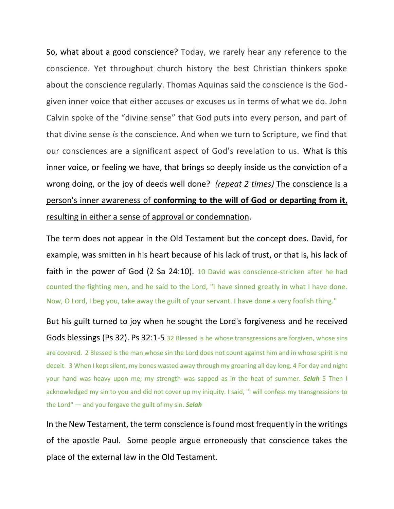So, what about a good conscience? Today, we rarely hear any reference to the conscience. Yet throughout church history the best Christian thinkers spoke about the conscience regularly. Thomas Aquinas said the conscience is the Godgiven inner voice that either accuses or excuses us in terms of what we do. John Calvin spoke of the "divine sense" that God puts into every person, and part of that divine sense *is* the conscience. And when we turn to Scripture, we find that our consciences are a significant aspect of God's revelation to us. What is this inner voice, or feeling we have, that brings so deeply inside us the conviction of a wrong doing, or the joy of deeds well done? *(repeat 2 times)* The conscience is a person's inner awareness of **conforming to the will of God or departing from it**, resulting in either a sense of approval or condemnation.

The term does not appear in the Old Testament but the concept does. David, for example, was smitten in his heart because of his lack of trust, or that is, his lack of faith in the power of God (2 Sa 24:10). 10 David was conscience-stricken after he had counted the fighting men, and he said to the Lord, "I have sinned greatly in what I have done. Now, O Lord, I beg you, take away the guilt of your servant. I have done a very foolish thing."

But his guilt turned to joy when he sought the Lord's forgiveness and he received Gods blessings (Ps 32). Ps 32:1-5 32 Blessed is he whose transgressions are forgiven, whose sins are covered. 2 Blessed is the man whose sin the Lord does not count against him and in whose spirit is no deceit. 3 When I kept silent, my bones wasted away through my groaning all day long. 4 For day and night your hand was heavy upon me; my strength was sapped as in the heat of summer. *Selah* 5 Then I acknowledged my sin to you and did not cover up my iniquity. I said, "I will confess my transgressions to the Lord" — and you forgave the guilt of my sin. *Selah*

In the New Testament, the term conscience is found most frequently in the writings of the apostle Paul. Some people argue erroneously that conscience takes the place of the external law in the Old Testament.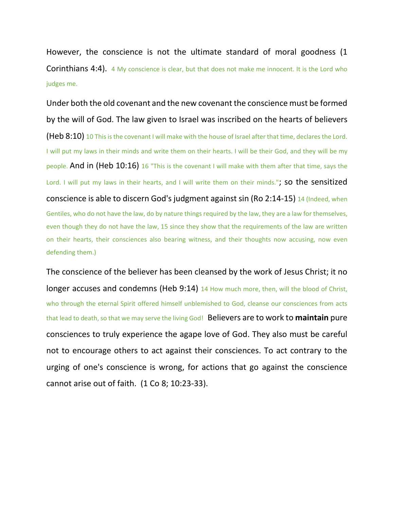However, the conscience is not the ultimate standard of moral goodness (1 **Corinthians 4:4).** 4 My conscience is clear, but that does not make me innocent. It is the Lord who judges me.

Under both the old covenant and the new covenant the conscience must be formed by the will of God. The law given to Israel was inscribed on the hearts of believers (Heb 8:10) 10 This is the covenant I will make with the house of Israel after that time, declares the Lord. I will put my laws in their minds and write them on their hearts. I will be their God, and they will be my people. And in (Heb  $10:16$ ) 16 "This is the covenant I will make with them after that time, says the Lord. I will put my laws in their hearts, and I will write them on their minds."; So the sensitized conscience is able to discern God's judgment against sin (Ro 2:14-15) 14 (Indeed, when Gentiles, who do not have the law, do by nature things required by the law, they are a law for themselves, even though they do not have the law, 15 since they show that the requirements of the law are written on their hearts, their consciences also bearing witness, and their thoughts now accusing, now even defending them.)

The conscience of the believer has been cleansed by the work of Jesus Christ; it no longer accuses and condemns (Heb 9:14) 14 How much more, then, will the blood of Christ, who through the eternal Spirit offered himself unblemished to God, cleanse our consciences from acts that lead to death, so that we may serve the living God! Believers are to work to **maintain** pure consciences to truly experience the agape love of God. They also must be careful not to encourage others to act against their consciences. To act contrary to the urging of one's conscience is wrong, for actions that go against the conscience cannot arise out of faith. (1 Co 8; 10:23-33).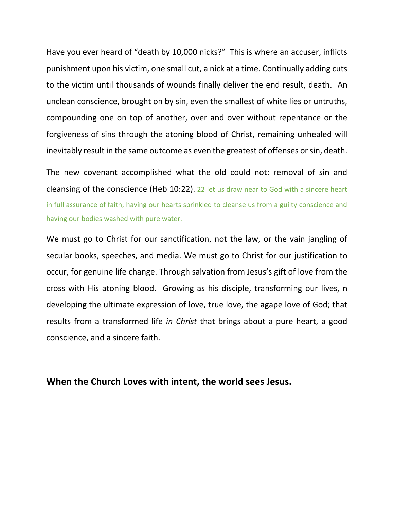Have you ever heard of "death by 10,000 nicks?" This is where an accuser, inflicts punishment upon his victim, one small cut, a nick at a time. Continually adding cuts to the victim until thousands of wounds finally deliver the end result, death. An unclean conscience, brought on by sin, even the smallest of white lies or untruths, compounding one on top of another, over and over without repentance or the forgiveness of sins through the atoning blood of Christ, remaining unhealed will inevitably result in the same outcome as even the greatest of offenses or sin, death.

The new covenant accomplished what the old could not: removal of sin and cleansing of the conscience (Heb 10:22). 22 let us draw near to God with a sincere heart in full assurance of faith, having our hearts sprinkled to cleanse us from a guilty conscience and having our bodies washed with pure water.

We must go to Christ for our sanctification, not the law, or the vain jangling of secular books, speeches, and media. We must go to Christ for our justification to occur, for genuine life change. Through salvation from Jesus's gift of love from the cross with His atoning blood. Growing as his disciple, transforming our lives, n developing the ultimate expression of love, true love, the agape love of God; that results from a transformed life *in Christ* that brings about a pure heart, a good conscience, and a sincere faith.

**When the Church Loves with intent, the world sees Jesus.**